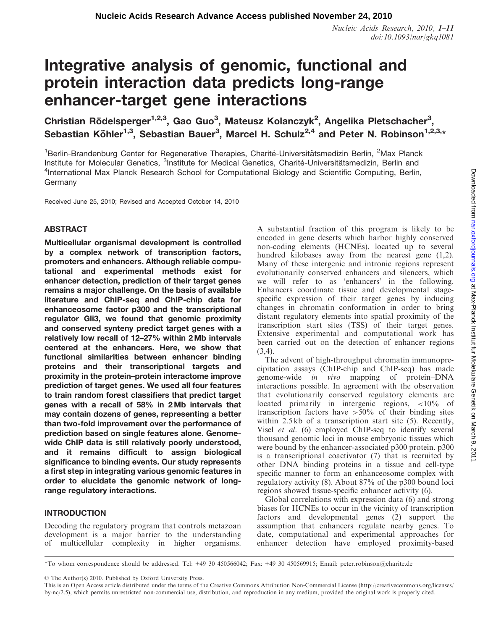# Integrative analysis of genomic, functional and protein interaction data predicts long-range enhancer-target gene interactions

Christian Rödelsperger<sup>1,2,3</sup>, Gao Guo<sup>3</sup>, Mateusz Kolanczyk<sup>2</sup>, Angelika Pletschacher<sup>3</sup>, Sebastian Köhler<sup>1,3</sup>, Sebastian Bauer<sup>3</sup>, Marcel H. Schulz<sup>2,4</sup> and Peter N. Robinson<sup>1,2,3,</sup>\*

<sup>1</sup>Berlin-Brandenburg Center for Regenerative Therapies, Charité-Universitätsmedizin Berlin, <sup>2</sup>Max Planck Institute for Molecular Genetics, <sup>3</sup>Institute for Medical Genetics, Charité-Universitätsmedizin, Berlin and <sup>4</sup>International Max Planck Research School for Computational Biology and Scientific Computing, Berlin, Germany

Received June 25, 2010; Revised and Accepted October 14, 2010

## ABSTRACT

Multicellular organismal development is controlled by a complex network of transcription factors, promoters and enhancers. Although reliable computational and experimental methods exist for enhancer detection, prediction of their target genes remains a major challenge. On the basis of available literature and ChIP-seq and ChIP-chip data for enhanceosome factor p300 and the transcriptional regulator Gli3, we found that genomic proximity and conserved synteny predict target genes with a relatively low recall of 12–27% within 2 Mb intervals centered at the enhancers. Here, we show that functional similarities between enhancer binding proteins and their transcriptional targets and proximity in the protein–protein interactome improve prediction of target genes. We used all four features to train random forest classifiers that predict target genes with a recall of 58% in 2 Mb intervals that may contain dozens of genes, representing a better than two-fold improvement over the performance of prediction based on single features alone. Genomewide ChIP data is still relatively poorly understood, and it remains difficult to assign biological significance to binding events. Our study represents a first step in integrating various genomic features in order to elucidate the genomic network of longrange regulatory interactions.

## INTRODUCTION

Decoding the regulatory program that controls metazoan development is a major barrier to the understanding of multicellular complexity in higher organisms. A substantial fraction of this program is likely to be encoded in gene deserts which harbor highly conserved non-coding elements (HCNEs), located up to several hundred kilobases away from the nearest gene (1,2). Many of these intergenic and intronic regions represent evolutionarily conserved enhancers and silencers, which we will refer to as 'enhancers' in the following. Enhancers coordinate tissue and developmental stagespecific expression of their target genes by inducing changes in chromatin conformation in order to bring distant regulatory elements into spatial proximity of the transcription start sites (TSS) of their target genes. Extensive experimental and computational work has been carried out on the detection of enhancer regions  $(3,4)$ .

The advent of high-throughput chromatin immunoprecipitation assays (ChIP-chip and ChIP-seq) has made genome-wide in vivo mapping of protein–DNA interactions possible. In agreement with the observation that evolutionarily conserved regulatory elements are located primarily in intergenic regions, <10% of transcription factors have  $>50\%$  of their binding sites within 2.5 kb of a transcription start site (5). Recently, Visel et al. (6) employed ChIP-seq to identify several thousand genomic loci in mouse embryonic tissues which were bound by the enhancer-associated p300 protein. p300 is a transcriptional coactivator (7) that is recruited by other DNA binding proteins in a tissue and cell-type specific manner to form an enhanceosome complex with regulatory activity (8). About 87% of the p300 bound loci regions showed tissue-specific enhancer activity (6).

Global correlations with expression data (6) and strong biases for HCNEs to occur in the vicinity of transcription factors and developmental genes (2) support the assumption that enhancers regulate nearby genes. To date, computational and experimental approaches for enhancer detection have employed proximity-based

<sup>\*</sup>To whom correspondence should be addressed. Tel: +49 30 450566042; Fax: +49 30 450569915; Email: peter.robinson@charite.de

<sup>©</sup> The Author(s) 2010. Published by Oxford University Press.

This is an Open Access article distributed under the terms of the Creative Commons Attribution Non-Commercial License (http://creativecommons.org/licenses/ by-nc/2.5), which permits unrestricted non-commercial use, distribution, and reproduction in any medium, provided the original work is properly cited.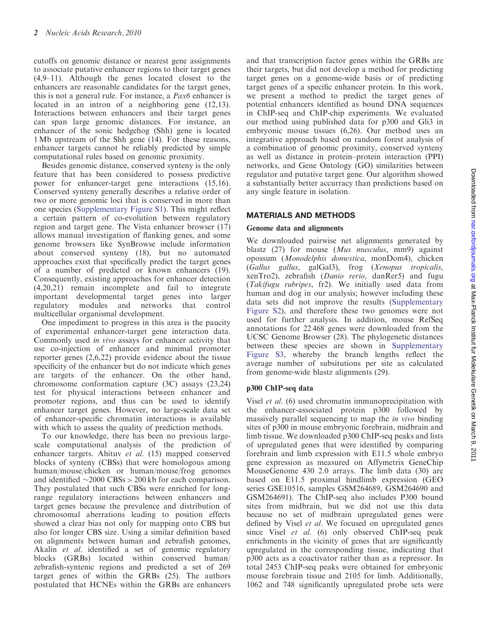cutoffs on genomic distance or nearest gene assignments to associate putative enhancer regions to their target genes (4,9–11). Although the genes located closest to the enhancers are reasonable candidates for the target genes, this is not a general rule. For instance, a Pax6 enhancer is located in an intron of a neighboring gene (12,13). Interactions between enhancers and their target genes can span large genomic distances. For instance, an enhancer of the sonic hedgehog (Shh) gene is located 1 Mb upstream of the Shh gene (14). For these reasons, enhancer targets cannot be reliably predicted by simple computational rules based on genomic proximity.

Besides genomic distance, conserved synteny is the only feature that has been considered to possess predictive power for enhancer-target gene interactions (15,16). Conserved synteny generally describes a relative order of two or more genomic loci that is conserved in more than one species [\(Supplementary Figure S1](http://nar.oxfordjournals.org/cgi/content/full/gkq1081/DC1)). This might reflect a certain pattern of co-evolution between regulatory region and target gene. The Vista enhancer browser (17) allows manual investigation of flanking genes, and some genome browsers like SynBrowse include information about conserved synteny (18), but no automated approaches exist that specifically predict the target genes of a number of predicted or known enhancers (19). Consequently, existing approaches for enhancer detection (4,20,21) remain incomplete and fail to integrate important developmental target genes into larger regulatory modules and networks that control multicellular organismal development.

One impediment to progress in this area is the paucity of experimental enhancer-target gene interaction data. Commonly used in vivo assays for enhancer activity that use co-injection of enhancer and minimal promoter reporter genes (2,6,22) provide evidence about the tissue specificity of the enhancer but do not indicate which genes are targets of the enhancer. On the other hand, chromosome conformation capture (3C) assays (23,24) test for physical interactions between enhancer and promoter regions, and thus can be used to identify enhancer target genes. However, no large-scale data set of enhancer-specific chromatin interactions is available with which to assess the quality of prediction methods.

To our knowledge, there has been no previous largescale computational analysis of the prediction of enhancer targets. Ahituv et al. (15) mapped conserved blocks of synteny (CBSs) that were homologous among human/mouse/chicken or human/mouse/frog genomes and identified  $\sim$ 2000 CBSs > 200 kb for each comparison. They postulated that such CBSs were enriched for longrange regulatory interactions between enhancers and target genes because the prevalence and distribution of chromosomal aberrations leading to position effects showed a clear bias not only for mapping onto CBS but also for longer CBS size. Using a similar definition based on alignments between human and zebrafish genomes, Akalin et al. identified a set of genomic regulatory blocks (GRBs) located within conserved human/ zebrafish-syntenic regions and predicted a set of 269 target genes of within the GRBs (25). The authors postulated that HCNEs within the GRBs are enhancers

and that transcription factor genes within the GRBs are their targets, but did not develop a method for predicting target genes on a genome-wide basis or of predicting target genes of a specific enhancer protein. In this work, we present a method to predict the target genes of potential enhancers identified as bound DNA sequences in ChIP-seq and ChIP-chip experiments. We evaluated our method using published data for p300 and Gli3 in embryonic mouse tissues (6,26). Our method uses an integrative approach based on random forest analysis of a combination of genomic proximity, conserved synteny as well as distance in protein–protein interaction (PPI) networks, and Gene Ontology (GO) similarities between regulator and putative target gene. Our algorithm showed a substantially better accurracy than predictions based on any single feature in isolation.

## MATERIALS AND METHODS

## Genome data and alignments

We downloaded pairwise net alignments generated by blastz (27) for mouse (Mus musculus, mm9) against opossum (Monodelphis domestica, monDom4), chicken (Gallus gallus, galGal3), frog (Xenopus tropicalis, xenTro2), zebrafish (Danio rerio, danRer5) and fugu (Takifugu rubripes, fr2). We initially used data from human and dog in our analysis; however including these data sets did not improve the results [\(Supplementary](http://nar.oxfordjournals.org/cgi/content/full/gkq1081/DC1) [Figure S2\)](http://nar.oxfordjournals.org/cgi/content/full/gkq1081/DC1), and therefore these two genomes were not used for further analysis. In addition, mouse RefSeq annotations for 22 468 genes were downloaded from the UCSC Genome Browser (28). The phylogenetic distances between these species are shown in [Supplementary](http://nar.oxfordjournals.org/cgi/content/full/gkq1081/DC1) [Figure S3](http://nar.oxfordjournals.org/cgi/content/full/gkq1081/DC1), whereby the branch lengths reflect the average number of subsitutions per site as calculated from genome-wide blastz alignments (29).

## p300 ChIP-seq data

Visel et al. (6) used chromatin immunoprecipitation with the enhancer-associated protein p300 followed by massively parallel sequencing to map the in vivo binding sites of p300 in mouse embryonic forebrain, midbrain and limb tissue. We downloaded p300 ChIP-seq peaks and lists of upregulated genes that were identified by comparing forebrain and limb expression with E11.5 whole embryo gene expression as measured on Affymetrix GeneChip MouseGenome 430 2.0 arrays. The limb data (30) are based on E11.5 proximal hindlimb expression (GEO series GSE10516, samples GSM264689, GSM264690 and GSM264691). The ChIP-seq also includes P300 bound sites from midbrain, but we did not use this data because no set of midbrain upregulated genes were defined by Visel et al. We focused on upregulated genes since Visel et al. (6) only observed ChIP-seq peak enrichments in the vicinity of genes that are significantly upregulated in the corresponding tissue, indicating that p300 acts as a coactivator rather than as a repressor. In total 2453 ChIP-seq peaks were obtained for embryonic mouse forebrain tissue and 2105 for limb. Additionally, 1062 and 748 significantly upregulated probe sets were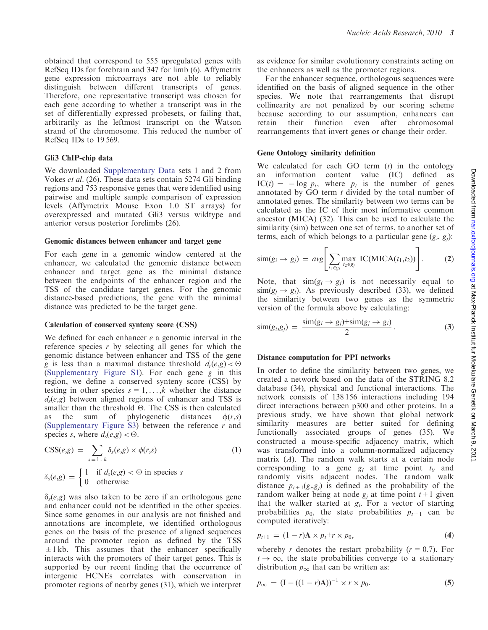obtained that correspond to 555 upregulated genes with RefSeq IDs for forebrain and 347 for limb (6). Affymetrix gene expression microarrays are not able to reliably distinguish between different transcripts of genes. Therefore, one representative transcript was chosen for each gene according to whether a transcript was in the set of differentially expressed probesets, or failing that, arbitrarily as the leftmost transcript on the Watson strand of the chromosome. This reduced the number of RefSeq IDs to 19 569.

#### Gli3 ChIP-chip data

We downloaded [Supplementary Data](http://nar.oxfordjournals.org/cgi/content/full/gkq1081/DC1) sets 1 and 2 from Vokes et al. (26). These data sets contain 5274 Gli binding regions and 753 responsive genes that were identified using pairwise and multiple sample comparison of expression levels (Affymetrix Mouse Exon 1.0 ST arrays) for overexpressed and mutated Gli3 versus wildtype and anterior versus posterior forelimbs (26).

#### Genomic distances between enhancer and target gene

For each gene in a genomic window centered at the enhancer, we calculated the genomic distance between enhancer and target gene as the minimal distance between the endpoints of the enhancer region and the TSS of the candidate target genes. For the genomic distance-based predictions, the gene with the minimal distance was predicted to be the target gene.

#### Calculation of conserved synteny score (CSS)

We defined for each enhancer  $e$  a genomic interval in the reference species  $r$  by selecting all genes for which the genomic distance between enhancer and TSS of the gene g is less than a maximal distance threshold  $d_r(e,g) < \Theta$ [\(Supplementary Figure S1\)](http://nar.oxfordjournals.org/cgi/content/full/gkq1081/DC1). For each gene g in this region, we define a conserved synteny score (CSS) by testing in other species  $s = 1, \ldots, k$  whether the distance  $d_s(e,g)$  between aligned regions of enhancer and TSS is smaller than the threshold  $\Theta$ . The CSS is then calculated as the sum of phylogenetic distances  $\phi(r,s)$ [\(Supplementary Figure S3\)](http://nar.oxfordjournals.org/cgi/content/full/gkq1081/DC1) between the reference r and species *s*, where  $d_s(e,g) < \Theta$ .

$$
CSS(e,g) = \sum_{s=1...k} \delta_s(e,g) \times \phi(r,s)
$$
\n
$$
\delta_s(e,g) = \begin{cases}\n1 & \text{if } d_s(e,g) < \Theta \text{ in species } s \\
0 & \text{otherwise}\n\end{cases}
$$
\n(1)

 $\delta_{s}(e,g)$  was also taken to be zero if an orthologous gene and enhancer could not be identified in the other species. Since some genomes in our analysis are not finished and annotations are incomplete, we identified orthologous genes on the basis of the presence of aligned sequences around the promoter region as defined by the TSS  $\pm 1$  kb. This assumes that the enhancer specifically interacts with the promoters of their target genes. This is supported by our recent finding that the occurrence of intergenic HCNEs correlates with conservation in promoter regions of nearby genes (31), which we interpret

as evidence for similar evolutionary constraints acting on the enhancers as well as the promoter regions.

For the enhancer sequence, orthologous sequences were identified on the basis of aligned sequence in the other species. We note that rearrangements that disrupt collinearity are not penalized by our scoring scheme because according to our assumption, enhancers can retain their function even after chromosomal rearrangements that invert genes or change their order.

#### Gene Ontology similarity definition

We calculated for each GO term  $(t)$  in the ontology an information content value (IC) defined as  $IC(t) = -\log p_t$ , where  $p_t$  is the number of genes annotated by GO term  $t$  divided by the total number of annotated genes. The similarity between two terms can be calculated as the IC of their most informative common ancestor (MICA) (32). This can be used to calculate the similarity (sim) between one set of terms, to another set of terms, each of which belongs to a particular gene  $(g_i, g_j)$ :

$$
\text{sim}(g_i \to g_j) = \text{avg}\bigg[\sum_{t_1 \in g_i} \max_{t_2 \in g_j} \text{IC}(\text{MICA}(t_1, t_2))\bigg].\tag{2}
$$

Note, that  $\sin(g_i \rightarrow g_j)$  is not necessarily equal to  $\sin(g_i \rightarrow g_i)$ . As previously described (33), we defined the similarity between two genes as the symmetric version of the formula above by calculating:

$$
\text{sim}(g_i, g_j) = \frac{\text{sim}(g_i \to g_j) + \text{sim}(g_j \to g_i)}{2} \,. \tag{3}
$$

#### Distance computation for PPI networks

In order to define the similarity between two genes, we created a network based on the data of the STRING 8.2 database (34), physical and functional interactions. The network consists of 138 156 interactions including 194 direct interactions between p300 and other proteins. In a previous study, we have shown that global network similarity measures are better suited for defining functionally associated groups of genes (35). We constructed a mouse-specific adjacency matrix, which was transformed into a column-normalized adjacency matrix  $(A)$ . The random walk starts at a certain node corresponding to a gene  $g_i$  at time point  $t_0$  and randomly visits adjacent nodes. The random walk distance  $p_{t+1}(g_i, g_j)$  is defined as the probability of the random walker being at node  $g_i$  at time point  $t+1$  given that the walker started at  $g_i$ . For a vector of starting probabilities  $p_0$ , the state probabilities  $p_{t+1}$  can be computed iteratively:

$$
p_{t+1} = (1 - r)\mathbf{A} \times p_t + r \times p_0, \tag{4}
$$

whereby r denotes the restart probability  $(r = 0.7)$ . For  $t \to \infty$ , the state probabilities converge to a stationary distribution  $p_{\infty}$  that can be written as:

$$
p_{\infty} = (I - ((1 - r)A))^{-1} \times r \times p_0.
$$
 (5)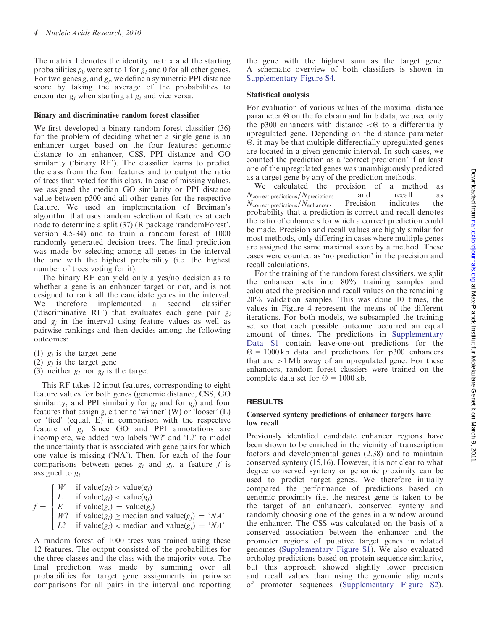The matrix I denotes the identity matrix and the starting probabilities  $p_0$  were set to 1 for  $g_i$  and 0 for all other genes. For two genes  $g_i$  and  $g_j$ , we define a symmetric PPI distance score by taking the average of the probabilities to encounter  $g_i$  when starting at  $g_i$  and vice versa.

## Binary and discriminative random forest classifier

We first developed a binary random forest classifier (36) for the problem of deciding whether a single gene is an enhancer target based on the four features: genomic distance to an enhancer, CSS, PPI distance and GO similarity ('binary RF'). The classifier learns to predict the class from the four features and to output the ratio of trees that voted for this class. In case of missing values, we assigned the median GO similarity or PPI distance value between p300 and all other genes for the respective feature. We used an implementation of Breiman's algorithm that uses random selection of features at each node to determine a split (37) (R package 'randomForest', version 4.5-34) and to train a random forest of 1000 randomly generated decision trees. The final prediction was made by selecting among all genes in the interval the one with the highest probability (i.e. the highest number of trees voting for it).

The binary RF can yield only a yes/no decision as to whether a gene is an enhancer target or not, and is not designed to rank all the candidate genes in the interval. We therefore implemented a second classifier ('discriminative RF') that evaluates each gene pair  $g_i$ and  $g_i$  in the interval using feature values as well as pairwise rankings and then decides among the following outcomes:

- (1)  $g_i$  is the target gene
- (2)  $g_i$  is the target gene
- (3) neither  $g_i$  nor  $g_j$  is the target

This RF takes 12 input features, corresponding to eight feature values for both genes (genomic distance, CSS, GO similarity, and PPI similarity for  $g_i$  and for  $g_j$ ) and four features that assign  $g_i$  either to 'winner' (W) or 'looser' (L) or 'tied' (equal, E) in comparison with the respective feature of  $g_i$ . Since GO and PPI annotations are incomplete, we added two labels 'W?' and 'L?' to model the uncertainty that is associated with gene pairs for which one value is missing ('NA'). Then, for each of the four comparisons between genes  $g_i$  and  $g_j$ , a feature f is assigned to  $g_i$ :

 $f =$ if value $(g_i)$  > value $(g_i)$ L if value $(g_i)$  < value $(g_j)$ E if value $(g_i)$  = value $(g_j)$ W? if value $(g_i)$   $\geq$  median and value $(g_j) = 'NA'$ L? if value $(g_i)$  < median and value $(g_j) = 'NA'$  $\epsilon$  $\overline{\phantom{a}}$  $\overline{\phantom{a}}$ 

A random forest of 1000 trees was trained using these 12 features. The output consisted of the probabilities for the three classes and the class with the majority vote. The final prediction was made by summing over all probabilities for target gene assignments in pairwise comparisons for all pairs in the interval and reporting the gene with the highest sum as the target gene. A schematic overview of both classifiers is shown in [Supplementary Figure S4.](http://nar.oxfordjournals.org/cgi/content/full/gkq1081/DC1)

## Statistical analysis

For evaluation of various values of the maximal distance parameter  $\Theta$  on the forebrain and limb data, we used only the p300 enhancers with distance  $\leq \Theta$  to a differentially upregulated gene. Depending on the distance parameter  $\Theta$ , it may be that multiple differentially upregulated genes are located in a given genomic interval. In such cases, we counted the prediction as a 'correct prediction' if at least one of the upregulated genes was unambiguously predicted as a target gene by any of the prediction methods.

We calculated the precision of a method as  $N_{\text{correct predictions}}/N_{\text{predictions}}$  and recall as  $N_{\text{correct predictions}}/N_{\text{enhancer}}$ . Precision indicates the  $N_{\text{correct predictions}}/N_{\text{enhancer}}.$ probability that a prediction is correct and recall denotes the ratio of enhancers for which a correct prediction could be made. Precision and recall values are highly similar for most methods, only differing in cases where multiple genes are assigned the same maximal score by a method. These cases were counted as 'no prediction' in the precision and recall calculations.

For the training of the random forest classifiers, we split the enhancer sets into 80% training samples and calculated the precision and recall values on the remaining 20% validation samples. This was done 10 times, the values in Figure 4 represent the means of the different iterations. For both models, we subsampled the training set so that each possible outcome occurred an equal amount of times. The predictions in [Supplementary](http://nar.oxfordjournals.org/cgi/content/full/gkq1081/DC1) [Data S1](http://nar.oxfordjournals.org/cgi/content/full/gkq1081/DC1) contain leave-one-out predictions for the  $\Theta = 1000 \text{ kb}$  data and predictions for p300 enhancers that are  $>1$  Mb away of an upregulated gene. For these enhancers, random forest classiers were trained on the complete data set for  $\Theta = 1000$  kb.

## RESULTS

## Conserved synteny predictions of enhancer targets have low recall

Previously identified candidate enhancer regions have been shown to be enriched in the vicinity of transcription factors and developmental genes (2,38) and to maintain conserved synteny (15,16). However, it is not clear to what degree conserved synteny or genomic proximity can be used to predict target genes. We therefore initially compared the performance of predictions based on genomic proximity (i.e. the nearest gene is taken to be the target of an enhancer), conserved synteny and randomly choosing one of the genes in a window around the enhancer. The CSS was calculated on the basis of a conserved association between the enhancer and the promoter regions of putative target genes in related genomes ([Supplementary Figure S1](http://nar.oxfordjournals.org/cgi/content/full/gkq1081/DC1)). We also evaluated ortholog predictions based on protein sequence similarity, but this approach showed slightly lower precision and recall values than using the genomic alignments of promoter sequences ([Supplementary Figure S2](http://nar.oxfordjournals.org/cgi/content/full/gkq1081/DC1)).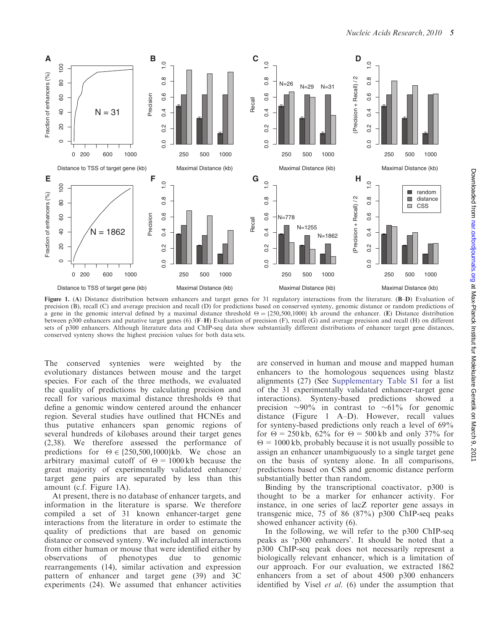

Figure 1. (A) Distance distribution between enhancers and target genes for 31 regulatory interactions from the literature. (B-D) Evaluation of precision (B), recall (C) and average precision and recall (D) for predictions based on conserved synteny, genomic distance or random predictions of a gene in the genomic interval defined by a maximal distance threshold  $\Theta = \{250,500,1000\}$  kb around the enhancer. (E) Distance distribution between p300 enhancers and putative target genes (6). (F–H) Evaluation of precision (F), recall (G) and average precision and recall (H) on different sets of p300 enhancers. Although literature data and ChIP-seq data show substantially different distributions of enhancer target gene distances, conserved synteny shows the highest precision values for both data sets.

The conserved syntenies were weighted by the evolutionary distances between mouse and the target species. For each of the three methods, we evaluated the quality of predictions by calculating precision and recall for various maximal distance thresholds  $\Theta$  that define a genomic window centered around the enhancer region. Several studies have outlined that HCNEs and thus putative enhancers span genomic regions of several hundreds of kilobases around their target genes (2,38). We therefore assessed the performance of predictions for  $\Theta \in \{250, 500, 1000\}$ kb. We chose an arbitrary maximal cutoff of  $\Theta = 1000 \text{ kb}$  because the great majority of experimentally validated enhancer/ target gene pairs are separated by less than this amount (c.f. Figure 1A).

At present, there is no database of enhancer targets, and information in the literature is sparse. We therefore compiled a set of 31 known enhancer-target gene interactions from the literature in order to estimate the quality of predictions that are based on genomic distance or conseved synteny. We included all interactions from either human or mouse that were identified either by observations of phenotypes due to genomic rearrangements (14), similar activation and expression pattern of enhancer and target gene (39) and 3C experiments (24). We assumed that enhancer activities are conserved in human and mouse and mapped human enhancers to the homologous sequences using blastz alignments (27) (See [Supplementary Table S1](http://nar.oxfordjournals.org/cgi/content/full/gkq1081/DC1) for a list of the 31 experimentally validated enhancer-target gene interactions). Synteny-based predictions showed a precision  $\sim 90\%$  in contrast to  $\sim 61\%$  for genomic distance (Figure 1 A–D). However, recall values for synteny-based predictions only reach a level of 69% for  $\Theta = 250 \text{ kb}$ , 62% for  $\Theta = 500 \text{ kb}$  and only 37% for  $\Theta = 1000$  kb, probably because it is not usually possible to assign an enhancer unambiguously to a single target gene on the basis of synteny alone. In all comparisons, predictions based on CSS and genomic distance perform substantially better than random.

Binding by the transcriptional coactivator, p300 is thought to be a marker for enhancer activity. For instance, in one series of lacZ reporter gene assays in transgenic mice, 75 of 86 (87%) p300 ChIP-seq peaks showed enhancer activity (6).

In the following, we will refer to the p300 ChIP-seq peaks as 'p300 enhancers'. It should be noted that a p300 ChIP-seq peak does not necessarily represent a biologically relevant enhancer, which is a limitation of our approach. For our evaluation, we extracted 1862 enhancers from a set of about 4500 p300 enhancers identified by Visel *et al.* (6) under the assumption that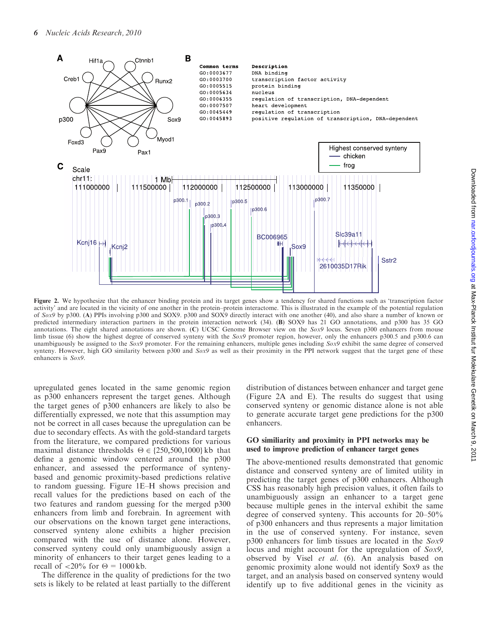

Figure 2. We hypothesize that the enhancer binding protein and its target genes show a tendency for shared functions such as 'transcription factor activity' and are located in the vicinity of one another in the protein–protein interactome. This is illustrated in the example of the potential regulation of Sox9 by p300. (A) PPIs involving p300 and SOX9. p300 and SOX9 directly interact with one another (40), and also share a number of known or predicted intermediary interaction partners in the protein interaction network (34). (B) SOX9 has 21 GO annotations, and p300 has 35 GO annotations. The eight shared annotations are shown. (C) UCSC Genome Browser view on the Sox9 locus. Seven p300 enhancers from mouse limb tissue (6) show the highest degree of conserved synteny with the Sox9 promoter region, however, only the enhancers p300.5 and p300.6 can unambiguously be assigned to the  $Sox9$  promoter. For the remaining enhancers, multiple genes including  $Sox9$  exhibit the same degree of conserved synteny. However, high GO similarity between p300 and Sox9 as well as their proximity in the PPI network suggest that the target gene of these enhancers is Sox9.

upregulated genes located in the same genomic region as p300 enhancers represent the target genes. Although the target genes of p300 enhancers are likely to also be differentially expressed, we note that this assumption may not be correct in all cases because the upregulation can be due to secondary effects. As with the gold-standard targets from the literature, we compared predictions for various maximal distance thresholds  $\Theta \in \{250, 500, 1000\}$  kb that define a genomic window centered around the p300 enhancer, and assessed the performance of syntenybased and genomic proximity-based predictions relative to random guessing. Figure 1E–H shows precision and recall values for the predictions based on each of the two features and random guessing for the merged p300 enhancers from limb and forebrain. In agreement with our observations on the known target gene interactions, conserved synteny alone exhibits a higher precision compared with the use of distance alone. However, conserved synteny could only unambiguously assign a minority of enhancers to their target genes leading to a recall of  $\langle 20\%$  for  $\Theta = 1000 \text{ kb}$ .

The difference in the quality of predictions for the two sets is likely to be related at least partially to the different

distribution of distances between enhancer and target gene (Figure 2A and E). The results do suggest that using conserved synteny or genomic distance alone is not able to generate accurate target gene predictions for the p300 enhancers.

## GO similiarity and proximity in PPI networks may be used to improve prediction of enhancer target genes

The above-mentioned results demonstrated that genomic distance and conserved synteny are of limited utility in predicting the target genes of p300 enhancers. Although CSS has reasonably high precision values, it often fails to unambiguously assign an enhancer to a target gene because multiple genes in the interval exhibit the same degree of conserved synteny. This accounts for 20–50% of p300 enhancers and thus represents a major limitation in the use of conserved synteny. For instance, seven p300 enhancers for limb tissues are located in the Sox9 locus and might account for the upregulation of Sox9, observed by Visel et al. (6). An analysis based on genomic proximity alone would not identify Sox9 as the target, and an analysis based on conserved synteny would identify up to five additional genes in the vicinity as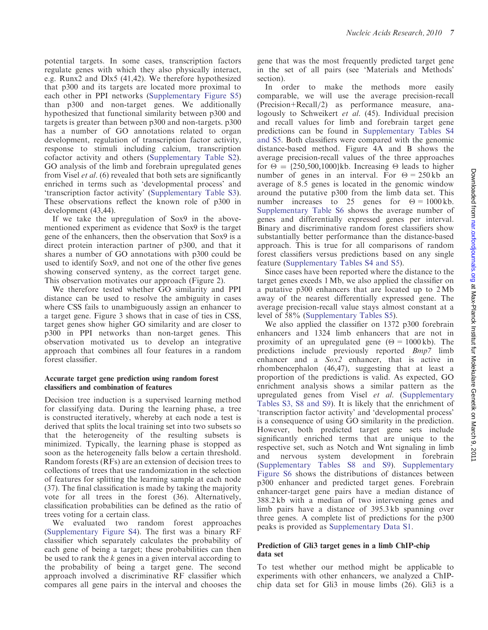potential targets. In some cases, transcription factors regulate genes with which they also physically interact, e.g. Runx2 and Dlx5 (41,42). We therefore hypothesized that p300 and its targets are located more proximal to each other in PPI networks [\(Supplementary Figure S5\)](http://nar.oxfordjournals.org/cgi/content/full/gkq1081/DC1) than p300 and non-target genes. We additionally hypothesized that functional similarity between p300 and targets is greater than between p300 and non-targets. p300 has a number of GO annotations related to organ development, regulation of transcription factor activity, response to stimuli including calcium, transcription cofactor activity and others ([Supplementary Table S2\)](http://nar.oxfordjournals.org/cgi/content/full/gkq1081/DC1). GO analysis of the limb and forebrain upregulated genes from Visel et al. (6) revealed that both sets are significantly enriched in terms such as 'developmental process' and 'transcription factor activity' [\(Supplementary Table S3\)](http://nar.oxfordjournals.org/cgi/content/full/gkq1081/DC1). These observations reflect the known role of p300 in development (43,44).

If we take the upregulation of Sox9 in the abovementioned experiment as evidence that Sox9 is the target gene of the enhancers, then the observation that Sox9 is a direct protein interaction partner of p300, and that it shares a number of GO annotations with p300 could be used to identify Sox9, and not one of the other five genes showing conserved synteny, as the correct target gene. This observation motivates our approach (Figure 2).

We therefore tested whether GO similarity and PPI distance can be used to resolve the ambiguity in cases where CSS fails to unambiguously assign an enhancer to a target gene. Figure 3 shows that in case of ties in CSS, target genes show higher GO similarity and are closer to p300 in PPI networks than non-target genes. This observation motivated us to develop an integrative approach that combines all four features in a random forest classifier.

#### Accurate target gene prediction using random forest classifiers and combination of features

Decision tree induction is a supervised learning method for classifying data. During the learning phase, a tree is constructed iteratively, whereby at each node a test is derived that splits the local training set into two subsets so that the heterogeneity of the resulting subsets is minimized. Typically, the learning phase is stopped as soon as the heterogeneity falls below a certain threshold. Random forests (RFs) are an extension of decision trees to collections of trees that use randomization in the selection of features for splitting the learning sample at each node (37). The final classification is made by taking the majority vote for all trees in the forest (36). Alternatively, classification probabilities can be defined as the ratio of trees voting for a certain class.

We evaluated two random forest approaches [\(Supplementary Figure S4\)](http://nar.oxfordjournals.org/cgi/content/full/gkq1081/DC1). The first was a binary RF classifier which separately calculates the probability of each gene of being a target; these probabilities can then be used to rank the  $k$  genes in a given interval according to the probability of being a target gene. The second approach involved a discriminative RF classifier which compares all gene pairs in the interval and chooses the

gene that was the most frequently predicted target gene in the set of all pairs (see 'Materials and Methods' section).

In order to make the methods more easily comparable, we will use the average precision-recall  $(Precision+Recall/2)$  as performance measure, analogously to Schweikert et al. (45). Individual precision and recall values for limb and forebrain target gene predictions can be found in [Supplementary Tables S4](http://nar.oxfordjournals.org/cgi/content/full/gkq1081/DC1) [and S5.](http://nar.oxfordjournals.org/cgi/content/full/gkq1081/DC1) Both classifiers were compared with the genomic distance-based method. Figure 4A and B shows the average precision-recall values of the three approaches for  $\Theta = \{250, 500, 1000\}$ kb. Increasing  $\Theta$  leads to higher number of genes in an interval. For  $\Theta = 250 \text{ kb}$  an average of 8.5 genes is located in the genomic window around the putative p300 from the limb data set. This number increases to 25 genes for  $\Theta = 1000 \text{ kb}$ . [Supplementary Table S6](http://nar.oxfordjournals.org/cgi/content/full/gkq1081/DC1) shows the average number of genes and differentially expressed genes per interval. Binary and discriminative random forest classifiers show substantially better performance than the distance-based approach. This is true for all comparisons of random forest classifiers versus predictions based on any single feature [\(Supplementary Tables S4 and S5\)](http://nar.oxfordjournals.org/cgi/content/full/gkq1081/DC1).

Since cases have been reported where the distance to the target genes exeeds 1 Mb, we also applied the classifier on a putative p300 enhancers that are located up to 2 Mb away of the nearest differentially expressed gene. The average precision-recall value stays almost constant at a level of 58% ([Supplementary Tables S5](http://nar.oxfordjournals.org/cgi/content/full/gkq1081/DC1)).

We also applied the classifier on 1372 p300 forebrain enhancers and 1324 limb enhancers that are not in proximity of an upregulated gene ( $\Theta = 1000 \text{ kb}$ ). The predictions include previously reported Bmp7 limb enhancer and a Sox2 enhancer, that is active in rhombencephalon (46,47), suggesting that at least a proportion of the predictions is valid. As expected, GO enrichment analysis shows a similar pattern as the upregulated genes from Visel et al. ([Supplementary](http://nar.oxfordjournals.org/cgi/content/full/gkq1081/DC1) [Tables S3, S8 and S9](http://nar.oxfordjournals.org/cgi/content/full/gkq1081/DC1)). It is likely that the enrichment of 'transcription factor activity' and 'developmental process' is a consequence of using GO similarity in the prediction. However, both predicted target gene sets include significantly enriched terms that are unique to the respective set, such as Notch and Wnt signaling in limb and nervous system development in forebrain [\(Supplementary Tables S8 and S9\)](http://nar.oxfordjournals.org/cgi/content/full/gkq1081/DC1). [Supplementary](http://nar.oxfordjournals.org/cgi/content/full/gkq1081/DC1) [Figure S6](http://nar.oxfordjournals.org/cgi/content/full/gkq1081/DC1) shows the distributions of distances between p300 enhancer and predicted target genes. Forebrain enhancer-target gene pairs have a median distance of 388.2 kb with a median of two intervening genes and limb pairs have a distance of 395.3 kb spanning over three genes. A complete list of predictions for the p300 peaks is provided as [Supplementary Data S1](http://nar.oxfordjournals.org/cgi/content/full/gkq1081/DC1).

## Prediction of Gli3 target genes in a limb ChIP-chip data set

To test whether our method might be applicable to experiments with other enhancers, we analyzed a ChIPchip data set for Gli3 in mouse limbs (26). Gli3 is a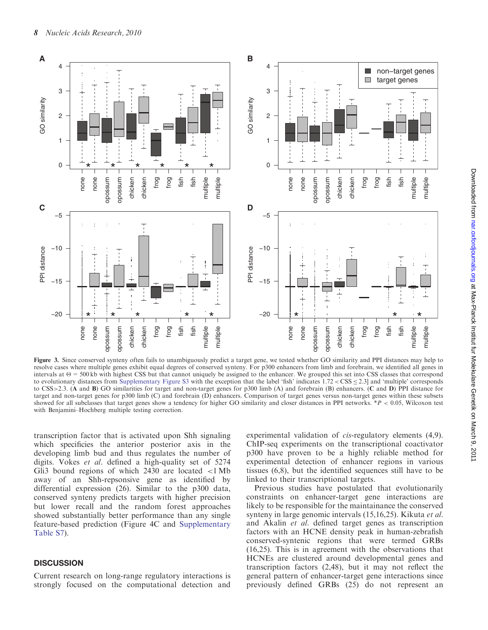

Figure 3. Since conserved synteny often fails to unambiguously predict a target gene, we tested whether GO similarity and PPI distances may help to resolve cases where multiple genes exhibit equal degrees of conserved synteny. For p300 enhancers from limb and forebrain, we identified all genes in intervals at  $\Theta = 500$  kb with highest CSS but that cannot uniquely be assigned to the enhancer. We grouped this set into CSS classes that correspond to evolutionary distances from [Supplementary Figure S3](http://nar.oxfordjournals.org/cgi/content/full/gkq1081/DC1) with the exception that the label 'fish' indicates  $1.72 <$  CSS  $\leq$  2.3] and 'multiple' corresponds to CSS>2.3. (A and B) GO similarities for target and non-target genes for p300 limb (A) and forebrain (B) enhancers. (C and D) PPI distance for target and non-target genes for p300 limb (C) and forebrain (D) enhancers. Comparison of target genes versus non-target genes within these subsets showed for all subclasses that target genes show a tendency for higher GO similarity and closer distances in PPI networks.  $*P < 0.05$ , Wilcoxon test with Benjamini–Hochberg multiple testing correction.

transcription factor that is activated upon Shh signaling which specificies the anterior posterior axis in the developing limb bud and thus regulates the number of digits. Vokes et al. defined a high-quality set of 5274 Gli3 bound regions of which  $2430$  are located  $\langle 1 \text{ Mb} \rangle$ away of an Shh-repsonsive gene as identified by differential expression (26). Similar to the p300 data, conserved synteny predicts targets with higher precision but lower recall and the random forest approaches showed substantially better performance than any single feature-based prediction (Figure 4C and [Supplementary](http://nar.oxfordjournals.org/cgi/content/full/gkq1081/DC1) [Table S7](http://nar.oxfordjournals.org/cgi/content/full/gkq1081/DC1)).

## **DISCUSSION**

Current research on long-range regulatory interactions is strongly focused on the computational detection and experimental validation of *cis*-regulatory elements (4,9). ChIP-seq experiments on the transcriptional coactivator p300 have proven to be a highly reliable method for experimental detection of enhancer regions in various tissues (6,8), but the identified sequences still have to be linked to their transcriptional targets.

Previous studies have postulated that evolutionarily constraints on enhancer-target gene interactions are likely to be responsible for the maintainance the conserved synteny in large genomic intervals (15,16,25). Kikuta et al. and Akalin et al. defined target genes as transcription factors with an HCNE density peak in human-zebrafish conserved-syntenic regions that were termed GRBs (16,25). This is in agreement with the observations that HCNEs are clustered around developmental genes and transcription factors (2,48), but it may not reflect the general pattern of enhancer-target gene interactions since previously defined GRBs (25) do not represent an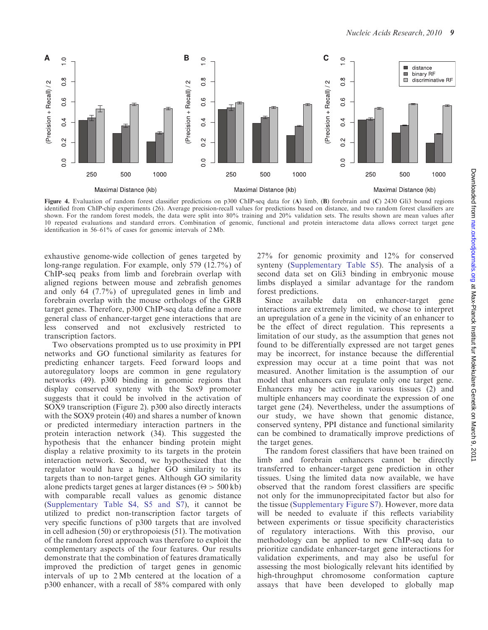

Figure 4. Evaluation of random forest classifier predictions on p300 ChIP-seq data for (A) limb, (B) forebrain and (C) 2430 Gli3 bound regions identified from ChIP-chip experiments (26). Average precision-recall values for predictions based on distance, and two random forest classifiers are shown. For the random forest models, the data were split into 80% training and 20% validation sets. The results shown are mean values after 10 repeated evaluations and standard errors. Combination of genomic, functional and protein interactome data allows correct target gene identification in 56–61% of cases for genomic intervals of 2 Mb.

exhaustive genome-wide collection of genes targeted by long-range regulation. For example, only 579 (12.7%) of ChIP-seq peaks from limb and forebrain overlap with aligned regions between mouse and zebrafish genomes and only 64 (7.7%) of upregulated genes in limb and forebrain overlap with the mouse orthologs of the GRB target genes. Therefore, p300 ChIP-seq data define a more general class of enhancer-target gene interactions that are less conserved and not exclusively restricted to transcription factors.

Two observations prompted us to use proximity in PPI networks and GO functional similarity as features for predicting enhancer targets. Feed forward loops and autoregulatory loops are common in gene regulatory networks (49). p300 binding in genomic regions that display conserved synteny with the Sox9 promoter suggests that it could be involved in the activation of SOX9 transcription (Figure 2). p300 also directly interacts with the SOX9 protein (40) and shares a number of known or predicted intermediary interaction partners in the protein interaction network (34). This suggested the hypothesis that the enhancer binding protein might display a relative proximity to its targets in the protein interaction network. Second, we hypothesized that the regulator would have a higher GO similarity to its targets than to non-target genes. Although GO similarity alone predicts target genes at larger distances ( $\Theta$  > 500 kb) with comparable recall values as genomic distance [\(Supplementary Table S4, S5 and S7](http://nar.oxfordjournals.org/cgi/content/full/gkq1081/DC1)), it cannot be utilized to predict non-transcription factor targets of very specific functions of p300 targets that are involved in cell adhesion (50) or erythropoiesis (51). The motivation of the random forest approach was therefore to exploit the complementary aspects of the four features. Our results demonstrate that the combination of features dramatically improved the prediction of target genes in genomic intervals of up to 2 Mb centered at the location of a p300 enhancer, with a recall of 58% compared with only

27% for genomic proximity and 12% for conserved synteny ([Supplementary Table S5\)](http://nar.oxfordjournals.org/cgi/content/full/gkq1081/DC1). The analysis of a second data set on Gli3 binding in embryonic mouse limbs displayed a similar advantage for the random forest predictions.

Since available data on enhancer-target gene interactions are extremely limited, we chose to interpret an upregulation of a gene in the vicinity of an enhancer to be the effect of direct regulation. This represents a limitation of our study, as the assumption that genes not found to be differentially expressed are not target genes may be incorrect, for instance because the differential expression may occur at a time point that was not measured. Another limitation is the assumption of our model that enhancers can regulate only one target gene. Enhancers may be active in various tissues (2) and multiple enhancers may coordinate the expression of one target gene (24). Nevertheless, under the assumptions of our study, we have shown that genomic distance, conserved synteny, PPI distance and functional similarity can be combined to dramatically improve predictions of the target genes.

The random forest classifiers that have been trained on limb and forebrain enhancers cannot be directly transferred to enhancer-target gene prediction in other tissues. Using the limited data now available, we have observed that the random forest classifiers are specific not only for the immunoprecipitated factor but also for the tissue ([Supplementary Figure S7](http://nar.oxfordjournals.org/cgi/content/full/gkq1081/DC1)). However, more data will be needed to evaluate if this reflects variability between experiments or tissue specificity characteristics of regulatory interactions. With this proviso, our methodology can be applied to new ChIP-seq data to prioritize candidate enhancer-target gene interactions for validation experiments, and may also be useful for assessing the most biologically relevant hits identified by high-throughput chromosome conformation capture assays that have been developed to globally map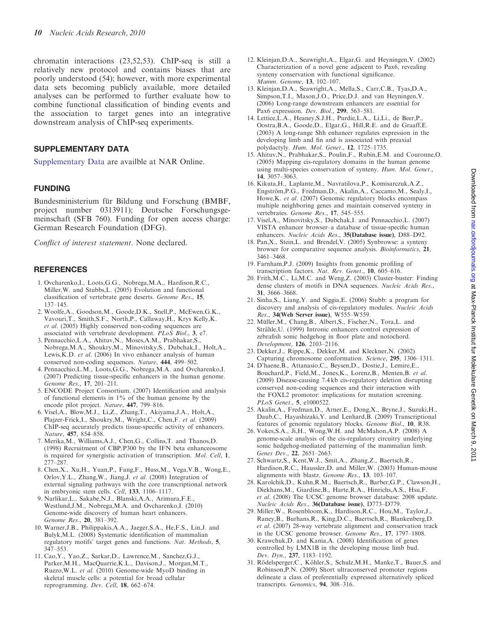chromatin interactions (23,52,53). ChIP-seq is still a relatively new protocol and contains biases that are poorly understood (54); however, with more experimental data sets becoming publicly available, more detailed analyses can be performed to further evaluate how to combine functional classification of binding events and the association to target genes into an integrative downstream analysis of ChIP-seq experiments.

## SUPPLEMENTARY DATA

[Supplementary Data](http://nar.oxfordjournals.org/cgi/content/full/gkq1081/DC1) are availble at NAR Online.

#### FUNDING

Bundesministerium für Bildung und Forschung (BMBF, project number 0313911); Deutsche Forschungsgemeinschaft (SFB 760). Funding for open access charge: German Research Foundation (DFG).

Conflict of interest statement. None declared.

## **REFERENCES**

- 1. Ovcharenko,I., Loots,G.G., Nobrega,M.A., Hardison,R.C., Miller,W. and Stubbs,L. (2005) Evolution and functional classification of vertebrate gene deserts. Genome Res., 15, 137–145.
- 2. Woolfe,A., Goodson,M., Goode,D.K., Snell,P., McEwen,G.K., Vavouri,T., Smith,S.F., North,P., Callaway,H., Krys Kelly,K. et al. (2005) Highly conserved non-coding sequences are associated with vertebrate development. PLoS Biol., 3, e7.
- 3. Pennacchio,L.A., Ahituv,N., Moses,A.M., Prabhakar,S., Nobrega,M.A., Shoukry,M., Minovitsky,S., Dubchak,I., Holt,A., Lewis,K.D. et al. (2006) In vivo enhancer analysis of human conserved non-coding sequences. Nature, 444, 499–502.
- 4. Pennacchio,L.M., Loots,G.G., Nobrega,M.A. and Ovcharenko,I. (2007) Predicting tissue-specific enhancers in the human genome. Genome Res., 17, 201–211.
- 5. ENCODE Project Consortium. (2007) Identification and analysis of functional elements in 1% of the human genome by the encode pilot project. Nature, 447, 799–816.
- 6. Visel,A., Blow,M.J., Li,Z., Zhang,T., Akiyama,J.A., Holt,A., Plajzer-Frick,I., Shoukry,M., Wright,C., Chen,F. et al. (2009) ChIP-seq accurately predicts tissue-specific activity of enhancers. Nature, 457, 854–858.
- 7. Merika,M., Williams,A.J., Chen,G., Collins,T. and Thanos,D. (1998) Recruitment of CBP/P300 by the IFN beta enhanceosome is required for synergistic activation of transcription. Mol. Cell, 1, 277–287.
- 8. Chen,X., Xu,H., Yuan,P., Fang,F., Huss,M., Vega,V.B., Wong,E., Orlov,Y.L., Zhang,W., Jiang,J. et al. (2008) Integration of external signaling pathways with the core transcriptional network in embryonic stem cells. Cell, 133, 1106–1117.
- 9. Narlikar,L., Sakabe,N.J., Blanski,A.A., Arimura,F.E., Westlund,J.M., Nobrega,M.A. and Ovcharenko,I. (2010) Genome-wide discovery of human heart enhancers. Genome Res., 20, 381–392.
- 10. Warner,J.B., Philippakis,A.A., Jaeger,S.A., He,F.S., Lin,J. and Bulyk,M.L. (2008) Systematic identification of mammalian regulatory motifs' target genes and functions. Nat. Methods, 5, 347–353.
- 11. Cao,Y., Yao,Z., Sarkar,D., Lawrence,M., Sanchez,G.J., Parker,M.H., MacQuarrie,K.L., Davison,J., Morgan,M.T., Ruzzo,W.L. et al. (2010) Genome-wide MyoD binding in skeletal muscle cells: a potential for broad cellular reprogramming. Dev. Cell, 18, 662-674.
- 12. Kleinjan,D.A., Seawright,A., Elgar,G. and Heyningen,V. (2002) Characterization of a novel gene adjacent to Pax6, revealing synteny conservation with functional significance. Mamm. Genome, 13, 102–107.
- 13. Kleinjan,D.A., Seawright,A., Mella,S., Carr,C.B., Tyas,D.A., Simpson,T.I., Mason,J.O., Price,D.J. and van Heyningen,V. (2006) Long-range downstream enhancers are essential for Pax6 expression. *Dev. Biol.*, **299**, 563-581.
- 14. Lettice,L.A., Heaney,S.J.H., Purdie,L.A., Li,Li., de Beer,P., Oostra,B.A., Goode,D., Elgar,G., Hill,R.E. and de Graaff,E. (2003) A long-range Shh enhancer regulates expression in the developing limb and fin and is associated with preaxial polydactyly. Hum. Mol. Genet., 12, 1725-1735.
- 15. Ahituv,N., Prabhakar,S., Poulin,F., Rubin,E.M. and Couronne,O. (2005) Mapping cis-regulatory domains in the human genome using multi-species conservation of synteny. Hum. Mol. Genet., 14, 3057–3063.
- 16. Kikuta,H., Laplante,M., Navratilova,P., Komisarczuk,A.Z., Engström, P.G., Fredman, D., Akalin, A., Caccamo, M., Sealy, I., Howe, K. et al. (2007) Genomic regulatory blocks encompass multiple neighboring genes and maintain conserved synteny in vertebrates. Genome Res., 17, 545–555.
- 17. Visel,A., Minovitsky,S., Dubchak,I. and Pennacchio,L. (2007) VISTA enhancer browser–a database of tissue-specific human enhancers. Nucleic Acids Res., 35(Database issue), D88-D92.
- 18. Pan,X., Stein,L. and Brendel,V. (2005) Synbrowse: a synteny browser for comparative sequence analysis. Bioinformatics, 21, 3461–3468.
- 19. Farnham,P.J. (2009) Insights from genomic profiling of transcription factors. Nat. Rev. Genet., 10, 605–616.
- 20. Frith,M.C., Li,M.C. and Weng,Z. (2003) Cluster-buster: Finding dense clusters of motifs in DNA sequences. Nucleic Acids Res., 31, 3666–3668.
- 21. Sinha,S., Liang,Y. and Siggia,E. (2006) Stubb: a program for discovery and analysis of cis-regulatory modules. Nucleic Acids Res., 34(Web Server issue), W555–W559.
- 22. Müller, M., Chang, B., Albert, S., Fischer, N., Tora, L. and Strähle, U. (1999) Intronic enhancers control expression of zebrafish sonic hedgehog in floor plate and notochord. Development, 126, 2103–2116.
- 23. Dekker,J., Rippe,K., Dekker,M. and Kleckner,N. (2002) Capturing chromosome conformation. Science, 295, 1306–1311.
- 24. D'haene,B., Attanasio,C., Beysen,D., Dostie,J., Lemire,E., Bouchard,P., Field,M., Jones,K., Lorenz,B., Menten,B. et al. (2009) Disease-causing 7.4 kb cis-regulatory deletion disrupting conserved non-coding sequences and their interaction with the FOXL2 promotor: implications for mutation screening. PLoS Genet., 5, e1000522.
- 25. Akalin,A., Fredman,D., Arner,E., Dong,X., Bryne,J., Suzuki,H., Daub,C., Hayashizaki,Y. and Lenhard,B. (2009) Transcriptional features of genomic regulatory blocks. Genome Biol., 10, R38.
- 26. Vokes,S.A., Ji,H., Wong,W.H. and McMahon,A.P. (2008) A genome-scale analysis of the cis-regulatory circuitry underlying sonic hedgehog-mediated patterning of the mammalian limb. Genes Dev., 22, 2651–2663.
- 27. Schwartz,S., Kent,W.J., Smit,A., Zhang,Z., Baertsch,R., Hardison,R.C., Haussler,D. and Miller,W. (2003) Human-mouse alignments with blastz. Genome Res., 13, 103–107.
- 28. Karolchik,D., Kuhn,R.M., Baertsch,R., Barber,G.P., Clawson,H., Diekhans,M., Giardine,B., Harte,R.A., Hinrichs,A.S., Hsu,F. et al. (2008) The UCSC genome browser database: 2008 update. Nucleic Acids Res., 36(Database issue), D773–D779.
- 29. Miller,W., Rosenbloom,K., Hardison,R.C., Hou,M., Taylor,J., Raney,B., Burhans,R., King,D.C., Baertsch,R., Blankenberg,D. et al. (2007) 28-way vertebrate alignment and conservation track in the UCSC genome browser. Genome Res., 17, 1797–1808.
- 30. Krawchuk,D. and Kania,A. (2008) Identification of genes controlled by LMX1B in the developing mouse limb bud. Dev. Dyn., 237, 1183–1192.
- 31. Rödelsperger, C., Köhler, S., Schulz, M.H., Manke, T., Bauer, S. and Robinson,P.N. (2009) Short ultraconserved promoter regions delineate a class of preferentially expressed alternatively spliced transcripts. Genomics, 94, 308–316.